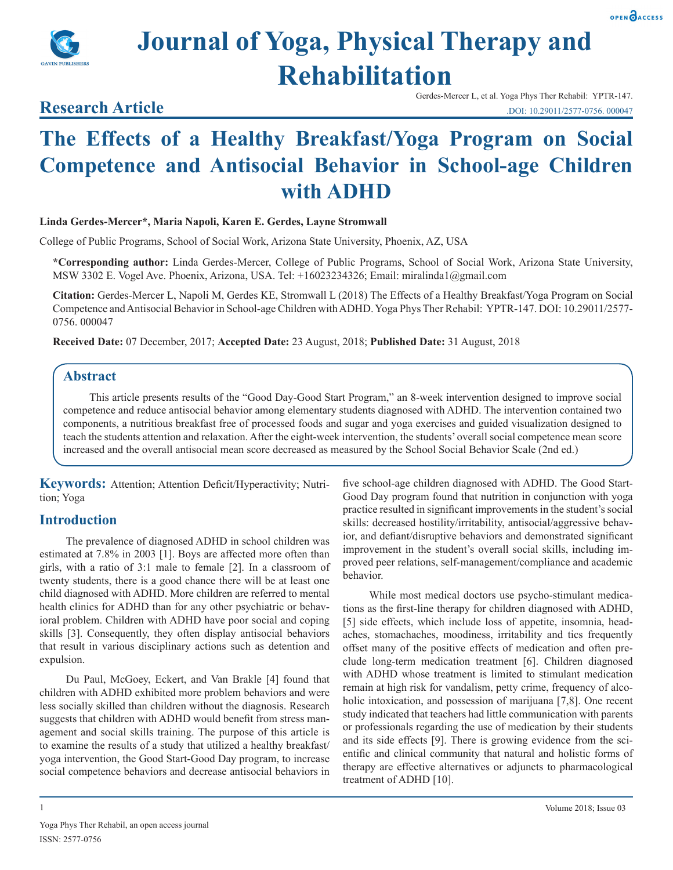



**Research Article** 

# **Journal of Yoga, Physical Therapy and Rehabilitation**

Gerdes-Mercer L, et al. Yoga Phys Ther Rehabil: YPTR-147. .DOI: 10.29011/2577-0756. 000047

## **The Effects of a Healthy Breakfast/Yoga Program on Social Competence and Antisocial Behavior in School-age Children with ADHD**

#### **Linda Gerdes-Mercer\*, Maria Napoli, Karen E. Gerdes, Layne Stromwall**

College of Public Programs, School of Social Work, Arizona State University, Phoenix, AZ, USA

**\*Corresponding author:** Linda Gerdes-Mercer, College of Public Programs, School of Social Work, Arizona State University, MSW 3302 E. Vogel Ave. Phoenix, Arizona, USA. Tel: +16023234326; Email: miralinda1@gmail.com

**Citation:** Gerdes-Mercer L, Napoli M, Gerdes KE, Stromwall L (2018) The Effects of a Healthy Breakfast/Yoga Program on Social Competence and Antisocial Behavior in School-age Children with ADHD. Yoga Phys Ther Rehabil: YPTR-147. DOI: 10.29011/2577- 0756. 000047

**Received Date:** 07 December, 2017; **Accepted Date:** 23 August, 2018; **Published Date:** 31 August, 2018

#### **Abstract**

This article presents results of the "Good Day-Good Start Program," an 8-week intervention designed to improve social competence and reduce antisocial behavior among elementary students diagnosed with ADHD. The intervention contained two components, a nutritious breakfast free of processed foods and sugar and yoga exercises and guided visualization designed to teach the students attention and relaxation. After the eight-week intervention, the students' overall social competence mean score increased and the overall antisocial mean score decreased as measured by the School Social Behavior Scale (2nd ed.)

**Keywords:** Attention; Attention Deficit/Hyperactivity; Nutrition; Yoga

#### **Introduction**

The prevalence of diagnosed ADHD in school children was estimated at 7.8% in 2003 [1]. Boys are affected more often than girls, with a ratio of 3:1 male to female [2]. In a classroom of twenty students, there is a good chance there will be at least one child diagnosed with ADHD. More children are referred to mental health clinics for ADHD than for any other psychiatric or behavioral problem. Children with ADHD have poor social and coping skills [3]. Consequently, they often display antisocial behaviors that result in various disciplinary actions such as detention and expulsion.

Du Paul, McGoey, Eckert, and Van Brakle [4] found that children with ADHD exhibited more problem behaviors and were less socially skilled than children without the diagnosis. Research suggests that children with ADHD would benefit from stress management and social skills training. The purpose of this article is to examine the results of a study that utilized a healthy breakfast/ yoga intervention, the Good Start-Good Day program, to increase social competence behaviors and decrease antisocial behaviors in

five school-age children diagnosed with ADHD. The Good Start-Good Day program found that nutrition in conjunction with yoga practice resulted in significant improvements in the student's social skills: decreased hostility/irritability, antisocial/aggressive behavior, and defiant/disruptive behaviors and demonstrated significant improvement in the student's overall social skills, including improved peer relations, self-management/compliance and academic behavior.

While most medical doctors use psycho-stimulant medications as the first-line therapy for children diagnosed with ADHD, [5] side effects, which include loss of appetite, insomnia, headaches, stomachaches, moodiness, irritability and tics frequently offset many of the positive effects of medication and often preclude long-term medication treatment [6]. Children diagnosed with ADHD whose treatment is limited to stimulant medication remain at high risk for vandalism, petty crime, frequency of alcoholic intoxication, and possession of marijuana [7,8]. One recent study indicated that teachers had little communication with parents or professionals regarding the use of medication by their students and its side effects [9]. There is growing evidence from the scientific and clinical community that natural and holistic forms of therapy are effective alternatives or adjuncts to pharmacological treatment of ADHD [10].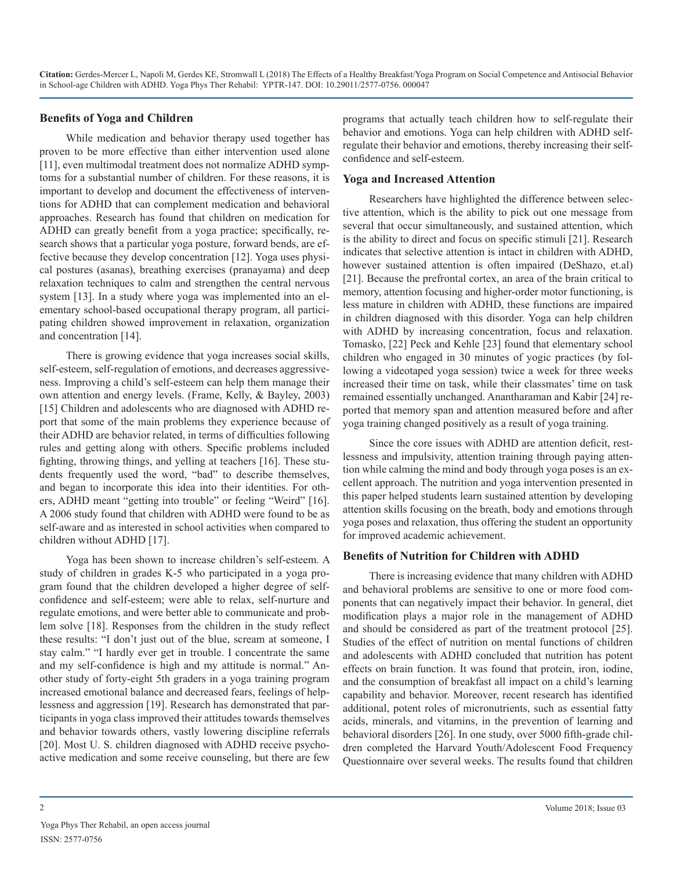#### **Benefits of Yoga and Children**

While medication and behavior therapy used together has proven to be more effective than either intervention used alone [11], even multimodal treatment does not normalize ADHD symptoms for a substantial number of children. For these reasons, it is important to develop and document the effectiveness of interventions for ADHD that can complement medication and behavioral approaches. Research has found that children on medication for ADHD can greatly benefit from a yoga practice; specifically, research shows that a particular yoga posture, forward bends, are effective because they develop concentration [12]. Yoga uses physical postures (asanas), breathing exercises (pranayama) and deep relaxation techniques to calm and strengthen the central nervous system [13]. In a study where yoga was implemented into an elementary school-based occupational therapy program, all participating children showed improvement in relaxation, organization and concentration [14].

There is growing evidence that yoga increases social skills, self-esteem, self-regulation of emotions, and decreases aggressiveness. Improving a child's self-esteem can help them manage their own attention and energy levels. (Frame, Kelly, & Bayley, 2003) [15] Children and adolescents who are diagnosed with ADHD report that some of the main problems they experience because of their ADHD are behavior related, in terms of difficulties following rules and getting along with others. Specific problems included fighting, throwing things, and yelling at teachers [16]. These students frequently used the word, "bad" to describe themselves, and began to incorporate this idea into their identities. For others, ADHD meant "getting into trouble" or feeling "Weird" [16]. A 2006 study found that children with ADHD were found to be as self-aware and as interested in school activities when compared to children without ADHD [17].

Yoga has been shown to increase children's self-esteem. A study of children in grades K-5 who participated in a yoga program found that the children developed a higher degree of selfconfidence and self-esteem; were able to relax, self-nurture and regulate emotions, and were better able to communicate and problem solve [18]. Responses from the children in the study reflect these results: "I don't just out of the blue, scream at someone, I stay calm." "I hardly ever get in trouble. I concentrate the same and my self-confidence is high and my attitude is normal." Another study of forty-eight 5th graders in a yoga training program increased emotional balance and decreased fears, feelings of helplessness and aggression [19]. Research has demonstrated that participants in yoga class improved their attitudes towards themselves and behavior towards others, vastly lowering discipline referrals [20]. Most U. S. children diagnosed with ADHD receive psychoactive medication and some receive counseling, but there are few

programs that actually teach children how to self-regulate their behavior and emotions. Yoga can help children with ADHD selfregulate their behavior and emotions, thereby increasing their selfconfidence and self-esteem.

#### **Yoga and Increased Attention**

Researchers have highlighted the difference between selective attention, which is the ability to pick out one message from several that occur simultaneously, and sustained attention, which is the ability to direct and focus on specific stimuli [21]. Research indicates that selective attention is intact in children with ADHD, however sustained attention is often impaired (DeShazo, et.al) [21]. Because the prefrontal cortex, an area of the brain critical to memory, attention focusing and higher-order motor functioning, is less mature in children with ADHD, these functions are impaired in children diagnosed with this disorder. Yoga can help children with ADHD by increasing concentration, focus and relaxation. Tomasko, [22] Peck and Kehle [23] found that elementary school children who engaged in 30 minutes of yogic practices (by following a videotaped yoga session) twice a week for three weeks increased their time on task, while their classmates' time on task remained essentially unchanged. Anantharaman and Kabir [24] reported that memory span and attention measured before and after yoga training changed positively as a result of yoga training.

Since the core issues with ADHD are attention deficit, restlessness and impulsivity, attention training through paying attention while calming the mind and body through yoga poses is an excellent approach. The nutrition and yoga intervention presented in this paper helped students learn sustained attention by developing attention skills focusing on the breath, body and emotions through yoga poses and relaxation, thus offering the student an opportunity for improved academic achievement.

#### **Benefits of Nutrition for Children with ADHD**

There is increasing evidence that many children with ADHD and behavioral problems are sensitive to one or more food components that can negatively impact their behavior. In general, diet modification plays a major role in the management of ADHD and should be considered as part of the treatment protocol [25]. Studies of the effect of nutrition on mental functions of children and adolescents with ADHD concluded that nutrition has potent effects on brain function. It was found that protein, iron, iodine, and the consumption of breakfast all impact on a child's learning capability and behavior. Moreover, recent research has identified additional, potent roles of micronutrients, such as essential fatty acids, minerals, and vitamins, in the prevention of learning and behavioral disorders [26]. In one study, over 5000 fifth-grade children completed the Harvard Youth/Adolescent Food Frequency Questionnaire over several weeks. The results found that children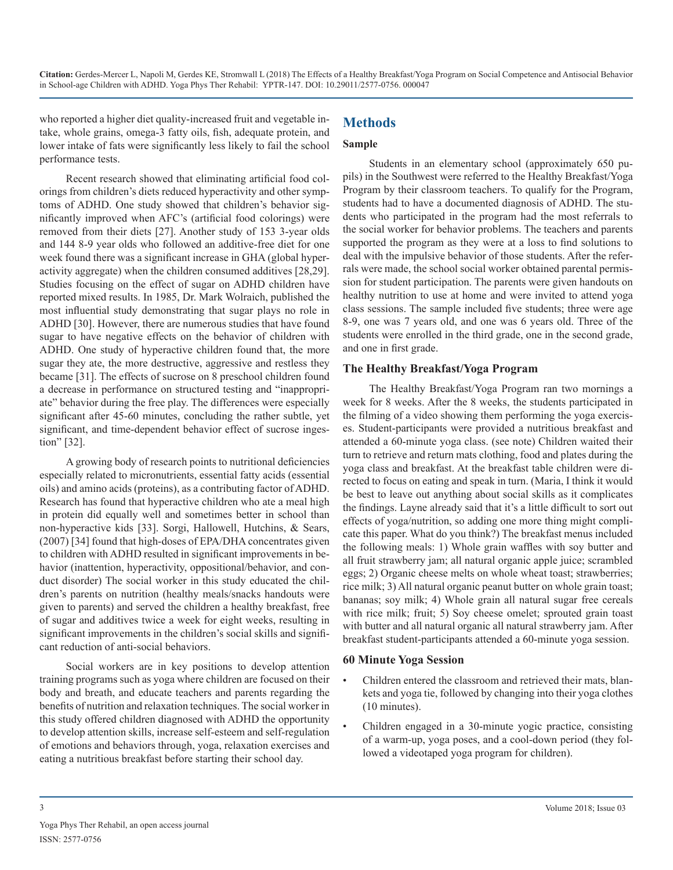who reported a higher diet quality-increased fruit and vegetable intake, whole grains, omega-3 fatty oils, fish, adequate protein, and lower intake of fats were significantly less likely to fail the school performance tests.

### **Methods**

#### **Sample**

Recent research showed that eliminating artificial food colorings from children's diets reduced hyperactivity and other symptoms of ADHD. One study showed that children's behavior significantly improved when AFC's (artificial food colorings) were removed from their diets [27]. Another study of 153 3-year olds and 144 8-9 year olds who followed an additive-free diet for one week found there was a significant increase in GHA (global hyperactivity aggregate) when the children consumed additives [28,29]. Studies focusing on the effect of sugar on ADHD children have reported mixed results. In 1985, Dr. Mark Wolraich, published the most influential study demonstrating that sugar plays no role in ADHD [30]. However, there are numerous studies that have found sugar to have negative effects on the behavior of children with ADHD. One study of hyperactive children found that, the more sugar they ate, the more destructive, aggressive and restless they became [31]. The effects of sucrose on 8 preschool children found a decrease in performance on structured testing and "inappropriate" behavior during the free play. The differences were especially significant after 45-60 minutes, concluding the rather subtle, yet significant, and time-dependent behavior effect of sucrose ingestion" [32].

A growing body of research points to nutritional deficiencies especially related to micronutrients, essential fatty acids (essential oils) and amino acids (proteins), as a contributing factor of ADHD. Research has found that hyperactive children who ate a meal high in protein did equally well and sometimes better in school than non-hyperactive kids [33]. Sorgi, Hallowell, Hutchins, & Sears, (2007) [34] found that high-doses of EPA/DHA concentrates given to children with ADHD resulted in significant improvements in behavior (inattention, hyperactivity, oppositional/behavior, and conduct disorder) The social worker in this study educated the children's parents on nutrition (healthy meals/snacks handouts were given to parents) and served the children a healthy breakfast, free of sugar and additives twice a week for eight weeks, resulting in significant improvements in the children's social skills and significant reduction of anti-social behaviors.

Social workers are in key positions to develop attention training programs such as yoga where children are focused on their body and breath, and educate teachers and parents regarding the benefits of nutrition and relaxation techniques. The social worker in this study offered children diagnosed with ADHD the opportunity to develop attention skills, increase self-esteem and self-regulation of emotions and behaviors through, yoga, relaxation exercises and eating a nutritious breakfast before starting their school day.

Students in an elementary school (approximately 650 pupils) in the Southwest were referred to the Healthy Breakfast/Yoga Program by their classroom teachers. To qualify for the Program, students had to have a documented diagnosis of ADHD. The students who participated in the program had the most referrals to the social worker for behavior problems. The teachers and parents supported the program as they were at a loss to find solutions to deal with the impulsive behavior of those students. After the referrals were made, the school social worker obtained parental permission for student participation. The parents were given handouts on healthy nutrition to use at home and were invited to attend yoga class sessions. The sample included five students; three were age 8-9, one was 7 years old, and one was 6 years old. Three of the students were enrolled in the third grade, one in the second grade, and one in first grade.

#### **The Healthy Breakfast/Yoga Program**

The Healthy Breakfast/Yoga Program ran two mornings a week for 8 weeks. After the 8 weeks, the students participated in the filming of a video showing them performing the yoga exercises. Student-participants were provided a nutritious breakfast and attended a 60-minute yoga class. (see note) Children waited their turn to retrieve and return mats clothing, food and plates during the yoga class and breakfast. At the breakfast table children were directed to focus on eating and speak in turn. (Maria, I think it would be best to leave out anything about social skills as it complicates the findings. Layne already said that it's a little difficult to sort out effects of yoga/nutrition, so adding one more thing might complicate this paper. What do you think?) The breakfast menus included the following meals: 1) Whole grain waffles with soy butter and all fruit strawberry jam; all natural organic apple juice; scrambled eggs; 2) Organic cheese melts on whole wheat toast; strawberries; rice milk; 3) All natural organic peanut butter on whole grain toast; bananas; soy milk; 4) Whole grain all natural sugar free cereals with rice milk; fruit; 5) Soy cheese omelet; sprouted grain toast with butter and all natural organic all natural strawberry jam. After breakfast student-participants attended a 60-minute yoga session.

#### **60 Minute Yoga Session**

- Children entered the classroom and retrieved their mats, blankets and yoga tie, followed by changing into their yoga clothes (10 minutes).
- Children engaged in a 30-minute yogic practice, consisting of a warm-up, yoga poses, and a cool-down period (they followed a videotaped yoga program for children).

3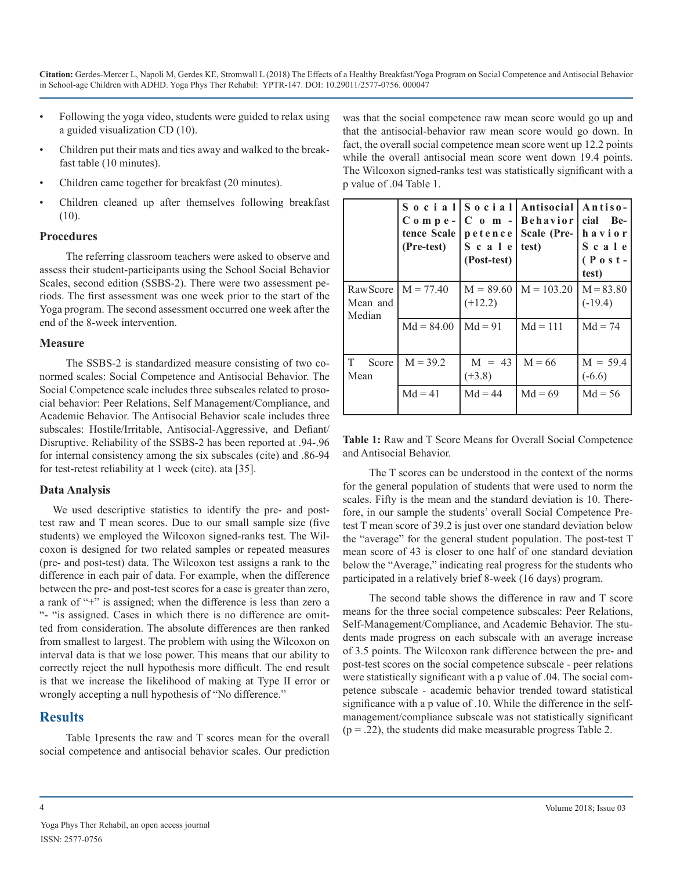- Following the yoga video, students were guided to relax using a guided visualization CD (10).
- Children put their mats and ties away and walked to the breakfast table (10 minutes).
- Children came together for breakfast (20 minutes).
- Children cleaned up after themselves following breakfast (10).

#### **Procedures**

The referring classroom teachers were asked to observe and assess their student-participants using the School Social Behavior Scales, second edition (SSBS-2). There were two assessment periods. The first assessment was one week prior to the start of the Yoga program. The second assessment occurred one week after the end of the 8-week intervention.

#### **Measure**

The SSBS-2 is standardized measure consisting of two conormed scales: Social Competence and Antisocial Behavior. The Social Competence scale includes three subscales related to prosocial behavior: Peer Relations, Self Management/Compliance, and Academic Behavior. The Antisocial Behavior scale includes three subscales: Hostile/Irritable, Antisocial-Aggressive, and Defiant/ Disruptive. Reliability of the SSBS-2 has been reported at .94-.96 for internal consistency among the six subscales (cite) and .86-94 for test-retest reliability at 1 week (cite). ata [35].

#### **Data Analysis**

We used descriptive statistics to identify the pre- and posttest raw and T mean scores. Due to our small sample size (five students) we employed the Wilcoxon signed-ranks test. The Wilcoxon is designed for two related samples or repeated measures (pre- and post-test) data. The Wilcoxon test assigns a rank to the difference in each pair of data. For example, when the difference between the pre- and post-test scores for a case is greater than zero, a rank of "+" is assigned; when the difference is less than zero a "- "is assigned. Cases in which there is no difference are omitted from consideration. The absolute differences are then ranked from smallest to largest. The problem with using the Wilcoxon on interval data is that we lose power. This means that our ability to correctly reject the null hypothesis more difficult. The end result is that we increase the likelihood of making at Type II error or wrongly accepting a null hypothesis of "No difference."

#### **Results**

Table 1presents the raw and T scores mean for the overall social competence and antisocial behavior scales. Our prediction was that the social competence raw mean score would go up and that the antisocial-behavior raw mean score would go down. In fact, the overall social competence mean score went up 12.2 points while the overall antisocial mean score went down 19.4 points. The Wilcoxon signed-ranks test was statistically significant with a p value of .04 Table 1.

|                                 | $C_0$ m p e -<br>tence Scale   petence  <br>(Pre-test) | $S$ c a l e<br>(Post-test) | Social Social Antisocial<br>$ C \text{ o } m -  Behavior  cial Be$<br>Scale (Pre-<br>test) | Antiso-<br>havior<br>Scale<br>$(P \circ st -$<br>test) |
|---------------------------------|--------------------------------------------------------|----------------------------|--------------------------------------------------------------------------------------------|--------------------------------------------------------|
| Raw Score<br>Mean and<br>Median | $M = 77.40$                                            | $M = 89.60$<br>$(+12.2)$   | $M = 103.20$                                                                               | $M = 83.80$<br>$(-19.4)$                               |
|                                 | $Md = 84.00$                                           | $Md = 91$                  | $Md = 111$                                                                                 | $Md = 74$                                              |
| T<br>Score<br>Mean              | $M = 39.2$                                             | $M = 43$<br>$(+3.8)$       | $M = 66$                                                                                   | $M = 59.4$<br>$(-6.6)$                                 |
|                                 | $Md = 41$                                              | $Md = 44$                  | $Md = 69$                                                                                  | $Md = 56$                                              |

**Table 1:** Raw and T Score Means for Overall Social Competence and Antisocial Behavior.

The T scores can be understood in the context of the norms for the general population of students that were used to norm the scales. Fifty is the mean and the standard deviation is 10. Therefore, in our sample the students' overall Social Competence Pretest T mean score of 39.2 is just over one standard deviation below the "average" for the general student population. The post-test T mean score of 43 is closer to one half of one standard deviation below the "Average," indicating real progress for the students who participated in a relatively brief 8-week (16 days) program.

The second table shows the difference in raw and T score means for the three social competence subscales: Peer Relations, Self-Management/Compliance, and Academic Behavior. The students made progress on each subscale with an average increase of 3.5 points. The Wilcoxon rank difference between the pre- and post-test scores on the social competence subscale - peer relations were statistically significant with a p value of .04. The social competence subscale - academic behavior trended toward statistical significance with a p value of .10. While the difference in the selfmanagement/compliance subscale was not statistically significant  $(p = .22)$ , the students did make measurable progress Table 2.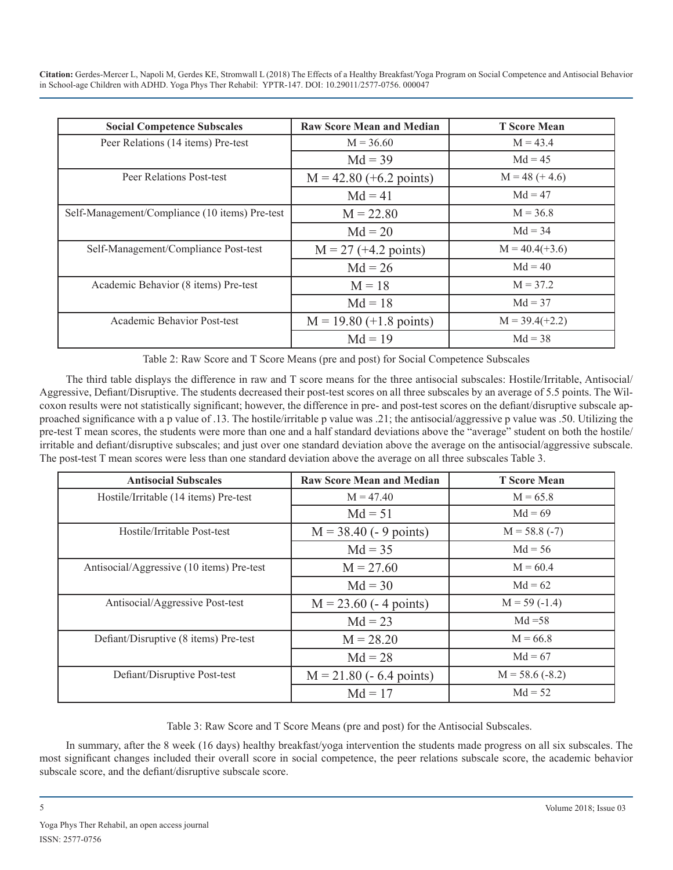| <b>Social Competence Subscales</b>             | <b>Raw Score Mean and Median</b> | <b>T</b> Score Mean |
|------------------------------------------------|----------------------------------|---------------------|
| Peer Relations (14 items) Pre-test             | $M = 36.60$                      | $M = 43.4$          |
|                                                | $Md = 39$                        | $Md = 45$           |
| Peer Relations Post-test                       | $M = 42.80 (+6.2$ points)        | $M = 48 (+ 4.6)$    |
|                                                | $Md = 41$                        | $Md = 47$           |
| Self-Management/Compliance (10 items) Pre-test | $M = 22.80$                      | $M = 36.8$          |
|                                                | $Md = 20$                        | $Md = 34$           |
| Self-Management/Compliance Post-test           | $M = 27 (+4.2 points)$           | $M = 40.4(+3.6)$    |
|                                                | $Md = 26$                        | $Md = 40$           |
| Academic Behavior (8 items) Pre-test           | $M = 18$                         | $M = 37.2$          |
|                                                | $Md = 18$                        | $Md = 37$           |
| Academic Behavior Post-test                    | $M = 19.80 (+1.8 points)$        | $M = 39.4(+2.2)$    |
|                                                | $Md = 19$                        | $Md = 38$           |

Table 2: Raw Score and T Score Means (pre and post) for Social Competence Subscales

The third table displays the difference in raw and T score means for the three antisocial subscales: Hostile/Irritable, Antisocial/ Aggressive, Defiant/Disruptive. The students decreased their post-test scores on all three subscales by an average of 5.5 points. The Wilcoxon results were not statistically significant; however, the difference in pre- and post-test scores on the defiant/disruptive subscale approached significance with a p value of .13. The hostile/irritable p value was .21; the antisocial/aggressive p value was .50. Utilizing the pre-test T mean scores, the students were more than one and a half standard deviations above the "average" student on both the hostile/ irritable and defiant/disruptive subscales; and just over one standard deviation above the average on the antisocial/aggressive subscale. The post-test T mean scores were less than one standard deviation above the average on all three subscales Table 3.

| <b>Antisocial Subscales</b>               | <b>Raw Score Mean and Median</b> | <b>T</b> Score Mean |
|-------------------------------------------|----------------------------------|---------------------|
| Hostile/Irritable (14 items) Pre-test     | $M = 47.40$                      | $M = 65.8$          |
|                                           | $Md = 51$                        | $Md = 69$           |
| Hostile/Irritable Post-test               | $M = 38.40$ (- 9 points)         | $M = 58.8(-7)$      |
|                                           | $Md = 35$                        | $Md = 56$           |
| Antisocial/Aggressive (10 items) Pre-test | $M = 27.60$                      | $M = 60.4$          |
|                                           | $Md = 30$                        | $Md = 62$           |
| Antisocial/Aggressive Post-test           | $M = 23.60$ (- 4 points)         | $M = 59(-1.4)$      |
|                                           | $Md = 23$                        | $Md = 58$           |
| Defiant/Disruptive (8 items) Pre-test     | $M = 28.20$                      | $M = 66.8$          |
|                                           | $Md = 28$                        | $Md = 67$           |
| Defiant/Disruptive Post-test              | $M = 21.80$ (- 6.4 points)       | $M = 58.6 (-8.2)$   |
|                                           | $Md = 17$                        | $Md = 52$           |

Table 3: Raw Score and T Score Means (pre and post) for the Antisocial Subscales.

In summary, after the 8 week (16 days) healthy breakfast/yoga intervention the students made progress on all six subscales. The most significant changes included their overall score in social competence, the peer relations subscale score, the academic behavior subscale score, and the defiant/disruptive subscale score.

5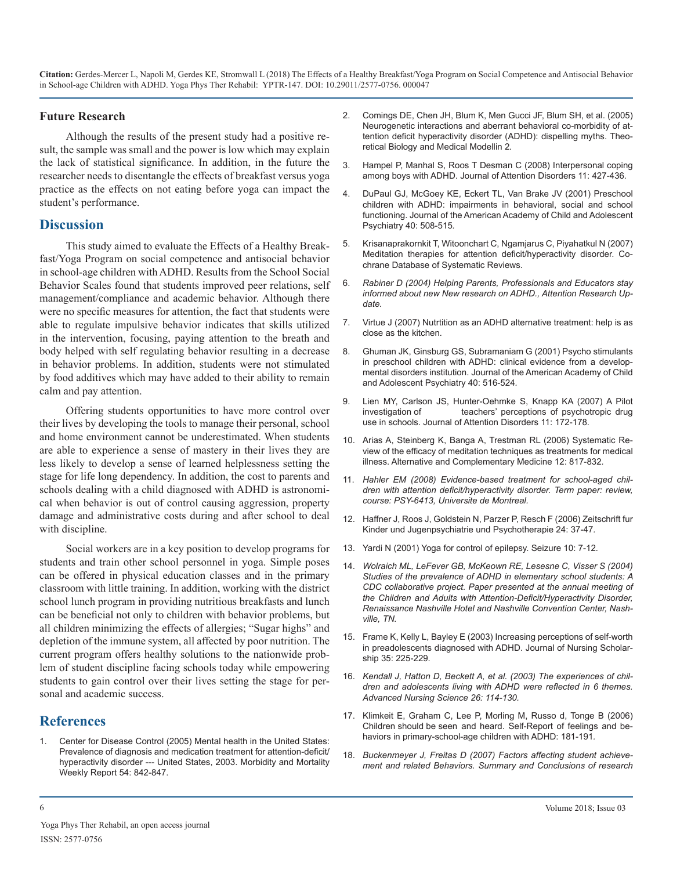#### **Future Research**

Although the results of the present study had a positive result, the sample was small and the power is low which may explain the lack of statistical significance. In addition, in the future the researcher needs to disentangle the effects of breakfast versus yoga practice as the effects on not eating before yoga can impact the student's performance.

#### **Discussion**

This study aimed to evaluate the Effects of a Healthy Breakfast/Yoga Program on social competence and antisocial behavior in school-age children with ADHD. Results from the School Social Behavior Scales found that students improved peer relations, self management/compliance and academic behavior. Although there were no specific measures for attention, the fact that students were able to regulate impulsive behavior indicates that skills utilized in the intervention, focusing, paying attention to the breath and body helped with self regulating behavior resulting in a decrease in behavior problems. In addition, students were not stimulated by food additives which may have added to their ability to remain calm and pay attention.

Offering students opportunities to have more control over their lives by developing the tools to manage their personal, school and home environment cannot be underestimated. When students are able to experience a sense of mastery in their lives they are less likely to develop a sense of learned helplessness setting the stage for life long dependency. In addition, the cost to parents and schools dealing with a child diagnosed with ADHD is astronomical when behavior is out of control causing aggression, property damage and administrative costs during and after school to deal with discipline.

Social workers are in a key position to develop programs for students and train other school personnel in yoga. Simple poses can be offered in physical education classes and in the primary classroom with little training. In addition, working with the district school lunch program in providing nutritious breakfasts and lunch can be beneficial not only to children with behavior problems, but all children minimizing the effects of allergies; "Sugar highs" and depletion of the immune system, all affected by poor nutrition. The current program offers healthy solutions to the nationwide problem of student discipline facing schools today while empowering students to gain control over their lives setting the stage for personal and academic success.

#### **References**

Center for Disease Control (2005) Mental health in the United States: Prevalence of diagnosis and medication treatment for attention-deficit/ [hyperactivity disorder --- United States, 2003. Morbidity and Mortality](https://www.cdc.gov/mmwr/preview/mmwrhtml/mm5434a2.htm)  [Weekly Report 54: 842-847](https://www.cdc.gov/mmwr/preview/mmwrhtml/mm5434a2.htm).

- 2. [Comings DE, Chen JH, Blum K, Men Gucci JF, Blum SH, et al. \(2005\)](http://europepmc.org/abstract/med/16375770)  Neurogenetic interactions and aberrant behavioral co-morbidity of at[tention deficit hyperactivity disorder \(ADHD\): dispelling myths. Theo](http://europepmc.org/abstract/med/16375770)[retical Biology and Medical Modellin 2](http://europepmc.org/abstract/med/16375770)*.*
- 3. [Hampel P, Manhal S, Roos T Desman C \(2008\) Interpersonal coping](http://journals.sagepub.com/doi/abs/10.1177/1087054707299337)  among boys with ADHD. Journal of Attention Disorders 11: 427-436*[.](http://journals.sagepub.com/doi/abs/10.1177/1087054707299337)*
- 4. [DuPaul GJ, McGoey KE, Eckert TL, Van Brake JV \(2001\) Preschool](https://www.ncbi.nlm.nih.gov/pubmed/11349694)  children with ADHD: impairments in behavioral, social and school [functioning. Journal of the American Academy of Child and Adolescent](https://www.ncbi.nlm.nih.gov/pubmed/11349694)  [Psychiatry 40: 508-515](https://www.ncbi.nlm.nih.gov/pubmed/11349694)*.*
- 5. [Krisanaprakornkit T, Witoonchart C, Ngamjarus C, Piyahatkul N \(2007\)](https://www.ncbi.nlm.nih.gov/pubmed/20556767)  Meditation therapies for attention deficit/hyperactivity disorder. Co[chrane Database of Systematic Reviews](https://www.ncbi.nlm.nih.gov/pubmed/20556767)*.*
- 6. *Rabiner D (2004) Helping Parents, Professionals and Educators stay informed about new New research on ADHD., Attention Research Update.*
- 7. [Virtue J \(2007\) Nutrtition as an ADHD alternative treatment: help is as](https://www.boxingscene.com/nutrition/16826.php)  close as the kitchen*.*
- 8. [Ghuman JK, Ginsburg GS, Subramaniam G \(2001\) Psycho stimulants](https://www.jaacap.org/article/S0890-8567(09)60681-X/abstract)  in preschool children with ADHD: clinical evidence from a develop[mental disorders institution. Journal of the American Academy of Child](https://www.jaacap.org/article/S0890-8567(09)60681-X/abstract)  [and Adolescent Psychiatry 40: 516-52](https://www.jaacap.org/article/S0890-8567(09)60681-X/abstract)4*.*
- 9. [Lien MY, Carlson JS, Hunter-Oehmke S, Knapp KA \(2007\) A Pilot](http://citeseerx.ist.psu.edu/viewdoc/download?doi=10.1.1.894.1823&rep=rep1&type=pdf) investigationof teachers' perceptions of psychotropic drug [use in schools. Journal of Attention Disorders 11: 172-17](http://citeseerx.ist.psu.edu/viewdoc/download?doi=10.1.1.894.1823&rep=rep1&type=pdf)8*.*
- 10. [Arias A, Steinberg K, Banga A, Trestman RL \(2006\) Systematic Re](https://www.ncbi.nlm.nih.gov/pubmed/17034289)view of the efficacy of meditation techniques as treatments for medical [illness. Alternative and Complementary Medicine 12: 817-83](https://www.ncbi.nlm.nih.gov/pubmed/17034289)2*.*
- 11. *Hahler EM (2008) Evidence-based treatment for school-aged children with attention deficit/hyperactivity disorder. Term paper: review, course: PSY-6413, Universite de Montreal.*
- 12. [Haffner J, Roos J, Goldstein N, Parzer P, Resch F \(2006\) Zeitschrift fur](https://www.hogrefe.de/produkte/zeitschriften/zeitschrift-fuer-kinder-und-jugendpsychiatrie-und-psychotherapie)  Kinder und Jugenpsychiatrie und Psychotherapie 24: 37-47*[.](https://www.hogrefe.de/produkte/zeitschriften/zeitschrift-fuer-kinder-und-jugendpsychiatrie-und-psychotherapie)*
- 13. [Yardi N \(2001\) Yoga for control of epilepsy. Seizure 10: 7-1](https://www.ncbi.nlm.nih.gov/pubmed/11181093)2*.*
- 14. *Wolraich ML, LeFever GB, McKeown RE, Lesesne C, Visser S (2004) Studies of the prevalence of ADHD in elementary school students: A CDC collaborative project. Paper presented at the annual meeting of the Children and Adults with Attention-Deficit/Hyperactivity Disorder, Renaissance Nashville Hotel and Nashville Convention Center, Nashville, TN.*
- 15. [Frame K, Kelly L, Bayley E \(2003\) Increasing perceptions of self-worth](https://sigmapubs.onlinelibrary.wiley.com/doi/abs/10.1111/j.1547-5069.2003.00225.x)  in preadolescents diagnosed with ADHD. Journal of Nursing Scholar[ship 35: 225-229](https://sigmapubs.onlinelibrary.wiley.com/doi/abs/10.1111/j.1547-5069.2003.00225.x)*.*
- 16. *Kendall J, Hatton D, Beckett A, et al. (2003) The experiences of children and adolescents living with ADHD were reflected in 6 themes. Advanced Nursing Science 26: 114-130.*
- 17. [Klimkeit E, Graham C, Lee P, Morling M, Russo d, Tonge B \(2006\)](https://www.ncbi.nlm.nih.gov/pubmed/17085628)  Children should be seen and heard. Self-Report of feelings and be[haviors in primary-school-age children with ADHD: 181-19](https://www.ncbi.nlm.nih.gov/pubmed/17085628)1*.*
- 18. *[Buckenmeyer J, Freitas D \(2007\) Factors affecting student achieve](https://www.cdc.gov/mmwr/preview/mmwrhtml/mm5434a2.htm)ment and related Behaviors. Summary and Conclusions of research*